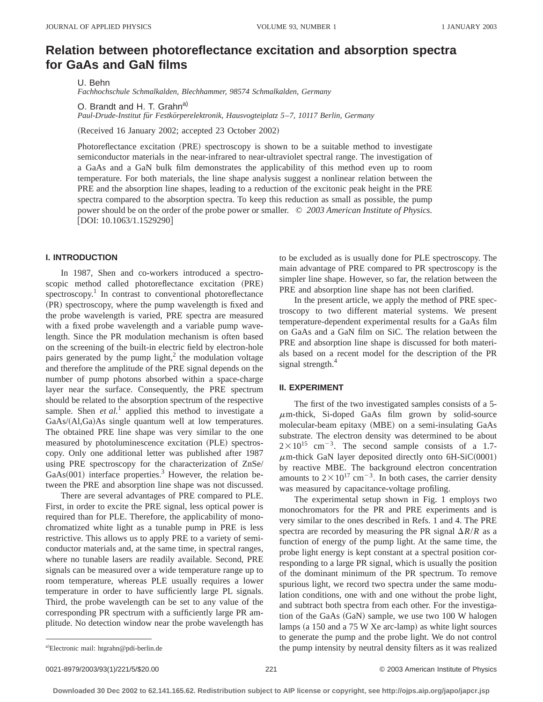# **Relation between photoreflectance excitation and absorption spectra for GaAs and GaN films**

U. Behn

*Fachhochschule Schmalkalden, Blechhammer, 98574 Schmalkalden, Germany*

O. Brandt and H. T. Grahn<sup>a)</sup> *Paul-Drude-Institut fu¨r Festko¨rperelektronik, Hausvogteiplatz 5*–*7, 10117 Berlin, Germany*

(Received 16 January 2002; accepted 23 October 2002)

Photoreflectance excitation (PRE) spectroscopy is shown to be a suitable method to investigate semiconductor materials in the near-infrared to near-ultraviolet spectral range. The investigation of a GaAs and a GaN bulk film demonstrates the applicability of this method even up to room temperature. For both materials, the line shape analysis suggest a nonlinear relation between the PRE and the absorption line shapes, leading to a reduction of the excitonic peak height in the PRE spectra compared to the absorption spectra. To keep this reduction as small as possible, the pump power should be on the order of the probe power or smaller. © *2003 American Institute of Physics.* [DOI: 10.1063/1.1529290]

## **I. INTRODUCTION**

In 1987, Shen and co-workers introduced a spectroscopic method called photoreflectance excitation (PRE) spectroscopy.<sup>1</sup> In contrast to conventional photoreflectance (PR) spectroscopy, where the pump wavelength is fixed and the probe wavelength is varied, PRE spectra are measured with a fixed probe wavelength and a variable pump wavelength. Since the PR modulation mechanism is often based on the screening of the built-in electric field by electron-hole pairs generated by the pump light, $<sup>2</sup>$  the modulation voltage</sup> and therefore the amplitude of the PRE signal depends on the number of pump photons absorbed within a space-charge layer near the surface. Consequently, the PRE spectrum should be related to the absorption spectrum of the respective sample. Shen *et al.*<sup>1</sup> applied this method to investigate a  $GaAs/(Al,Ga)As$  single quantum well at low temperatures. The obtained PRE line shape was very similar to the one measured by photoluminescence excitation (PLE) spectroscopy. Only one additional letter was published after 1987 using PRE spectroscopy for the characterization of ZnSe/  $GaAs(001)$  interface properties.<sup>3</sup> However, the relation between the PRE and absorption line shape was not discussed.

There are several advantages of PRE compared to PLE. First, in order to excite the PRE signal, less optical power is required than for PLE. Therefore, the applicability of monochromatized white light as a tunable pump in PRE is less restrictive. This allows us to apply PRE to a variety of semiconductor materials and, at the same time, in spectral ranges, where no tunable lasers are readily available. Second, PRE signals can be measured over a wide temperature range up to room temperature, whereas PLE usually requires a lower temperature in order to have sufficiently large PL signals. Third, the probe wavelength can be set to any value of the corresponding PR spectrum with a sufficiently large PR amplitude. No detection window near the probe wavelength has to be excluded as is usually done for PLE spectroscopy. The main advantage of PRE compared to PR spectroscopy is the simpler line shape. However, so far, the relation between the PRE and absorption line shape has not been clarified.

In the present article, we apply the method of PRE spectroscopy to two different material systems. We present temperature-dependent experimental results for a GaAs film on GaAs and a GaN film on SiC. The relation between the PRE and absorption line shape is discussed for both materials based on a recent model for the description of the PR signal strength.<sup>4</sup>

#### **II. EXPERIMENT**

The first of the two investigated samples consists of a 5-  $\mu$ m-thick, Si-doped GaAs film grown by solid-source molecular-beam epitaxy (MBE) on a semi-insulating GaAs substrate. The electron density was determined to be about  $2 \times 10^{15}$  cm<sup>-3</sup>. The second sample consists of a 1.7- $\mu$ m-thick GaN layer deposited directly onto 6H-SiC(0001) by reactive MBE. The background electron concentration amounts to  $2 \times 10^{17}$  cm<sup>-3</sup>. In both cases, the carrier density was measured by capacitance-voltage profiling.

The experimental setup shown in Fig. 1 employs two monochromators for the PR and PRE experiments and is very similar to the ones described in Refs. 1 and 4. The PRE spectra are recorded by measuring the PR signal  $\Delta R/R$  as a function of energy of the pump light. At the same time, the probe light energy is kept constant at a spectral position corresponding to a large PR signal, which is usually the position of the dominant minimum of the PR spectrum. To remove spurious light, we record two spectra under the same modulation conditions, one with and one without the probe light, and subtract both spectra from each other. For the investigation of the GaAs (GaN) sample, we use two 100 W halogen lamps  $(a 150$  and a 75 W Xe arc-lamp) as white light sources to generate the pump and the probe light. We do not control the pump intensity by neutral density filters as it was realized

a)Electronic mail: htgrahn@pdi-berlin.de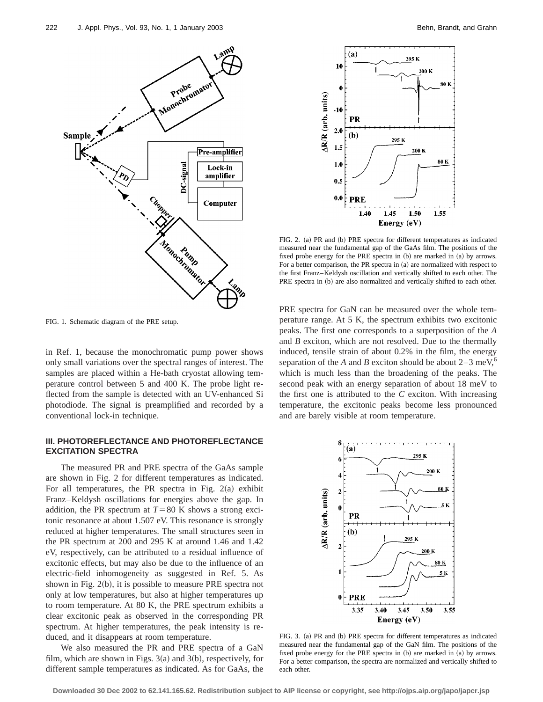

FIG. 1. Schematic diagram of the PRE setup.

in Ref. 1, because the monochromatic pump power shows only small variations over the spectral ranges of interest. The samples are placed within a He-bath cryostat allowing temperature control between 5 and 400 K. The probe light reflected from the sample is detected with an UV-enhanced Si photodiode. The signal is preamplified and recorded by a conventional lock-in technique.

# **III. PHOTOREFLECTANCE AND PHOTOREFLECTANCE EXCITATION SPECTRA**

The measured PR and PRE spectra of the GaAs sample are shown in Fig. 2 for different temperatures as indicated. For all temperatures, the PR spectra in Fig.  $2(a)$  exhibit Franz–Keldysh oscillations for energies above the gap. In addition, the PR spectrum at  $T=80$  K shows a strong excitonic resonance at about 1.507 eV. This resonance is strongly reduced at higher temperatures. The small structures seen in the PR spectrum at 200 and 295 K at around 1.46 and 1.42 eV, respectively, can be attributed to a residual influence of excitonic effects, but may also be due to the influence of an electric-field inhomogeneity as suggested in Ref. 5. As shown in Fig.  $2(b)$ , it is possible to measure PRE spectra not only at low temperatures, but also at higher temperatures up to room temperature. At 80 K, the PRE spectrum exhibits a clear excitonic peak as observed in the corresponding PR spectrum. At higher temperatures, the peak intensity is reduced, and it disappears at room temperature.

We also measured the PR and PRE spectra of a GaN film, which are shown in Figs.  $3(a)$  and  $3(b)$ , respectively, for different sample temperatures as indicated. As for GaAs, the



FIG. 2. (a) PR and (b) PRE spectra for different temperatures as indicated measured near the fundamental gap of the GaAs film. The positions of the fixed probe energy for the PRE spectra in  $(b)$  are marked in  $(a)$  by arrows. For a better comparison, the PR spectra in  $(a)$  are normalized with respect to the first Franz–Keldysh oscillation and vertically shifted to each other. The PRE spectra in (b) are also normalized and vertically shifted to each other.

PRE spectra for GaN can be measured over the whole temperature range. At 5 K, the spectrum exhibits two excitonic peaks. The first one corresponds to a superposition of the *A* and *B* exciton, which are not resolved. Due to the thermally induced, tensile strain of about 0.2% in the film, the energy separation of the *A* and *B* exciton should be about  $2-3$  meV,<sup>6</sup> which is much less than the broadening of the peaks. The second peak with an energy separation of about 18 meV to the first one is attributed to the *C* exciton. With increasing temperature, the excitonic peaks become less pronounced and are barely visible at room temperature.



FIG. 3. (a) PR and (b) PRE spectra for different temperatures as indicated measured near the fundamental gap of the GaN film. The positions of the fixed probe energy for the PRE spectra in  $(b)$  are marked in  $(a)$  by arrows. For a better comparison, the spectra are normalized and vertically shifted to each other.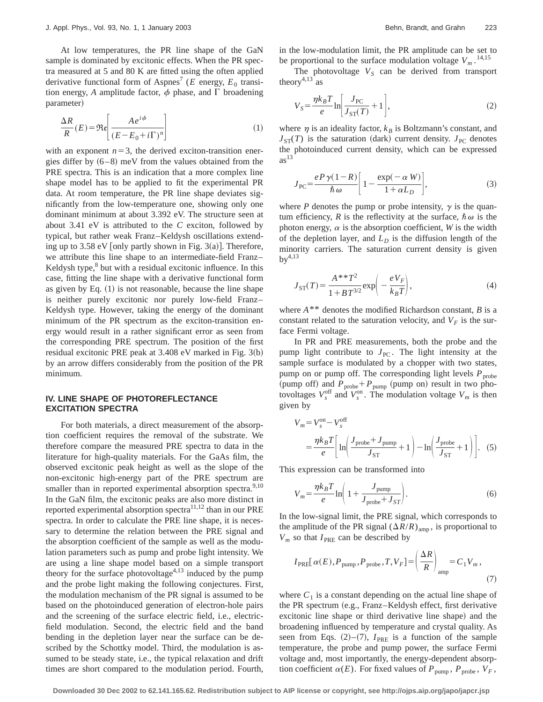At low temperatures, the PR line shape of the GaN sample is dominated by excitonic effects. When the PR spectra measured at 5 and 80 K are fitted using the often applied derivative functional form of Aspnes<sup>7</sup> (*E* energy,  $E_0$  transition energy, *A* amplitude factor,  $\phi$  phase, and  $\Gamma$  broadening parameter)

$$
\frac{\Delta R}{R}(E) = \Re\left[\frac{A e^{i\phi}}{(E - E_0 + i\Gamma)^n}\right]
$$
\n(1)

with an exponent  $n=3$ , the derived exciton-transition energies differ by  $(6–8)$  meV from the values obtained from the PRE spectra. This is an indication that a more complex line shape model has to be applied to fit the experimental PR data. At room temperature, the PR line shape deviates significantly from the low-temperature one, showing only one dominant minimum at about 3.392 eV. The structure seen at about 3.41 eV is attributed to the *C* exciton, followed by typical, but rather weak Franz–Keldysh oscillations extending up to 3.58 eV [only partly shown in Fig. 3(a)]. Therefore, we attribute this line shape to an intermediate-field Franz– Keldysh type, $8$  but with a residual excitonic influence. In this case, fitting the line shape with a derivative functional form as given by Eq.  $(1)$  is not reasonable, because the line shape is neither purely excitonic nor purely low-field Franz– Keldysh type. However, taking the energy of the dominant minimum of the PR spectrum as the exciton-transition energy would result in a rather significant error as seen from the corresponding PRE spectrum. The position of the first residual excitonic PRE peak at  $3.408$  eV marked in Fig.  $3(b)$ by an arrow differs considerably from the position of the PR minimum.

## **IV. LINE SHAPE OF PHOTOREFLECTANCE EXCITATION SPECTRA**

For both materials, a direct measurement of the absorption coefficient requires the removal of the substrate. We therefore compare the measured PRE spectra to data in the literature for high-quality materials. For the GaAs film, the observed excitonic peak height as well as the slope of the non-excitonic high-energy part of the PRE spectrum are smaller than in reported experimental absorption spectra.<sup>9,10</sup> In the GaN film, the excitonic peaks are also more distinct in reported experimental absorption spectra $11,12$  than in our PRE spectra. In order to calculate the PRE line shape, it is necessary to determine the relation between the PRE signal and the absorption coefficient of the sample as well as the modulation parameters such as pump and probe light intensity. We are using a line shape model based on a simple transport theory for the surface photovoltage<sup>4,13</sup> induced by the pump and the probe light making the following conjectures. First, the modulation mechanism of the PR signal is assumed to be based on the photoinduced generation of electron-hole pairs and the screening of the surface electric field, i.e., electricfield modulation. Second, the electric field and the band bending in the depletion layer near the surface can be described by the Schottky model. Third, the modulation is assumed to be steady state, i.e., the typical relaxation and drift times are short compared to the modulation period. Fourth, in the low-modulation limit, the PR amplitude can be set to be proportional to the surface modulation voltage  $V_m$ .<sup>14,15</sup>

The photovoltage  $V<sub>S</sub>$  can be derived from transport theory<sup>4,13</sup> as

$$
V_S = \frac{\eta k_B T}{e} \ln \left[ \frac{J_{\rm PC}}{J_{\rm ST}(T)} + 1 \right],\tag{2}
$$

where  $\eta$  is an ideality factor,  $k_B$  is Boltzmann's constant, and  $J_{ST}(T)$  is the saturation (dark) current density.  $J_{PC}$  denotes the photoinduced current density, which can be expressed  $as<sup>13</sup>$ 

$$
J_{\rm PC} = \frac{e \, P \, \gamma (1 - R)}{\hbar \, \omega} \bigg[ 1 - \frac{\exp(-\, \alpha \, W)}{1 + \alpha L_D} \bigg],\tag{3}
$$

where *P* denotes the pump or probe intensity,  $\gamma$  is the quantum efficiency, R is the reflectivity at the surface,  $\hbar \omega$  is the photon energy,  $\alpha$  is the absorption coefficient, *W* is the width of the depletion layer, and  $L<sub>D</sub>$  is the diffusion length of the minority carriers. The saturation current density is given  $bv^{4,13}$ 

$$
J_{\rm ST}(T) = \frac{A^{**}T^2}{1 + BT^{3/2}} \exp\left(-\frac{eV_F}{k_B T}\right),\tag{4}
$$

where *A*\*\* denotes the modified Richardson constant, *B* is a constant related to the saturation velocity, and  $V_F$  is the surface Fermi voltage.

In PR and PRE measurements, both the probe and the pump light contribute to  $J_{PC}$ . The light intensity at the sample surface is modulated by a chopper with two states, pump on or pump off. The corresponding light levels  $P_{\text{probe}}$ (pump off) and  $P_{\text{probe}} + P_{\text{pump}}$  (pump on) result in two photovoltages  $V_s^{\text{off}}$  and  $V_s^{\text{on}}$ . The modulation voltage  $V_m$  is then given by

$$
V_m = V_s^{\text{on}} - V_s^{\text{off}}
$$
  
= 
$$
\frac{\eta k_B T}{e} \left[ \ln \left( \frac{J_{\text{probe}} + J_{\text{pump}}}{J_{\text{ST}}} + 1 \right) - \ln \left( \frac{J_{\text{probe}}}{J_{\text{ST}}} + 1 \right) \right].
$$
 (5)

This expression can be transformed into

$$
V_m = \frac{\eta k_B T}{e} \ln \left( 1 + \frac{J_{\text{pump}}}{J_{\text{probe}} + J_{ST}} \right). \tag{6}
$$

In the low-signal limit, the PRE signal, which corresponds to the amplitude of the PR signal  $(\Delta R/R)_{\text{amp}}$ , is proportional to  $V_m$  so that  $I_{PRE}$  can be described by

$$
I_{\text{PRE}}[\alpha(E), P_{\text{pump}}, P_{\text{probe}}, T, V_F] = \left(\frac{\Delta R}{R}\right)_{\text{amp}} = C_1 V_m, \tag{7}
$$

where  $C_1$  is a constant depending on the actual line shape of the PR spectrum (e.g., Franz–Keldysh effect, first derivative excitonic line shape or third derivative line shape) and the broadening influenced by temperature and crystal quality. As seen from Eqs.  $(2)$ – $(7)$ ,  $I_{PRE}$  is a function of the sample temperature, the probe and pump power, the surface Fermi voltage and, most importantly, the energy-dependent absorption coefficient  $\alpha(E)$ . For fixed values of  $P_{\text{pump}}$ ,  $P_{\text{probe}}$ ,  $V_F$ ,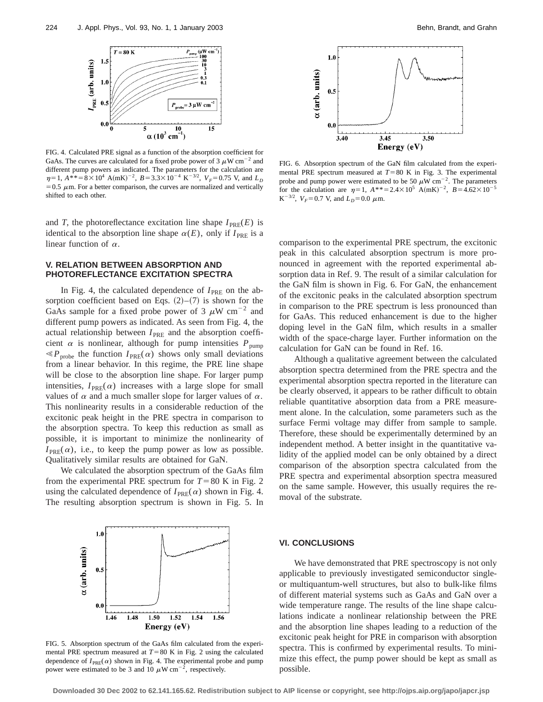

FIG. 4. Calculated PRE signal as a function of the absorption coefficient for GaAs. The curves are calculated for a fixed probe power of 3  $\mu$ W cm<sup>-2</sup> and different pump powers as indicated. The parameters for the calculation are  $\eta=1$ ,  $A^{**}=8\times10^4$  A(mK)<sup>-2</sup>,  $B=3.3\times10^{-4}$  K<sup>-3/2</sup>,  $V_F=0.75$  V, and  $L_D$  $=0.5 \mu$ m. For a better comparison, the curves are normalized and vertically shifted to each other.

and *T*, the photoreflectance excitation line shape  $I_{PRE}(E)$  is identical to the absorption line shape  $\alpha(E)$ , only if  $I_{PRE}$  is a linear function of  $\alpha$ .

# **V. RELATION BETWEEN ABSORPTION AND PHOTOREFLECTANCE EXCITATION SPECTRA**

In Fig. 4, the calculated dependence of  $I_{PRE}$  on the absorption coefficient based on Eqs.  $(2)-(7)$  is shown for the GaAs sample for a fixed probe power of 3  $\mu$ W cm<sup>-2</sup> and different pump powers as indicated. As seen from Fig. 4, the actual relationship between  $I_{PRE}$  and the absorption coefficient  $\alpha$  is nonlinear, although for pump intensities  $P_{\text{pump}}$  $\ll P_{\text{probe}}$  the function  $I_{\text{PRE}}(\alpha)$  shows only small deviations from a linear behavior. In this regime, the PRE line shape will be close to the absorption line shape. For larger pump intensities,  $I_{PRE}(\alpha)$  increases with a large slope for small values of  $\alpha$  and a much smaller slope for larger values of  $\alpha$ . This nonlinearity results in a considerable reduction of the excitonic peak height in the PRE spectra in comparison to the absorption spectra. To keep this reduction as small as possible, it is important to minimize the nonlinearity of  $I_{PRE}(\alpha)$ , i.e., to keep the pump power as low as possible. Qualitatively similar results are obtained for GaN.

We calculated the absorption spectrum of the GaAs film from the experimental PRE spectrum for  $T=80$  K in Fig. 2 using the calculated dependence of  $I_{PRE}(\alpha)$  shown in Fig. 4. The resulting absorption spectrum is shown in Fig. 5. In



FIG. 5. Absorption spectrum of the GaAs film calculated from the experimental PRE spectrum measured at  $T=80$  K in Fig. 2 using the calculated dependence of  $I_{PRE}(\alpha)$  shown in Fig. 4. The experimental probe and pump power were estimated to be 3 and 10  $\mu$ W cm<sup>-2</sup>, respectively.



FIG. 6. Absorption spectrum of the GaN film calculated from the experimental PRE spectrum measured at  $T=80$  K in Fig. 3. The experimental probe and pump power were estimated to be 50  $\mu$ W cm<sup>-2</sup>. The parameters for the calculation are  $\eta=1$ ,  $A^{**}=2.4\times10^5$  A(mK)<sup>-2</sup>,  $B=4.62\times10^{-5}$  $K^{-3/2}$ ,  $V_F = 0.7$  V, and  $L_D = 0.0$   $\mu$ m.

comparison to the experimental PRE spectrum, the excitonic peak in this calculated absorption spectrum is more pronounced in agreement with the reported experimental absorption data in Ref. 9. The result of a similar calculation for the GaN film is shown in Fig. 6. For GaN, the enhancement of the excitonic peaks in the calculated absorption spectrum in comparison to the PRE spectrum is less pronounced than for GaAs. This reduced enhancement is due to the higher doping level in the GaN film, which results in a smaller width of the space-charge layer. Further information on the calculation for GaN can be found in Ref. 16.

Although a qualitative agreement between the calculated absorption spectra determined from the PRE spectra and the experimental absorption spectra reported in the literature can be clearly observed, it appears to be rather difficult to obtain reliable quantitative absorption data from a PRE measurement alone. In the calculation, some parameters such as the surface Fermi voltage may differ from sample to sample. Therefore, these should be experimentally determined by an independent method. A better insight in the quantitative validity of the applied model can be only obtained by a direct comparison of the absorption spectra calculated from the PRE spectra and experimental absorption spectra measured on the same sample. However, this usually requires the removal of the substrate.

# **VI. CONCLUSIONS**

We have demonstrated that PRE spectroscopy is not only applicable to previously investigated semiconductor singleor multiquantum-well structures, but also to bulk-like films of different material systems such as GaAs and GaN over a wide temperature range. The results of the line shape calculations indicate a nonlinear relationship between the PRE and the absorption line shapes leading to a reduction of the excitonic peak height for PRE in comparison with absorption spectra. This is confirmed by experimental results. To minimize this effect, the pump power should be kept as small as possible.

**Downloaded 30 Dec 2002 to 62.141.165.62. Redistribution subject to AIP license or copyright, see http://ojps.aip.org/japo/japcr.jsp**